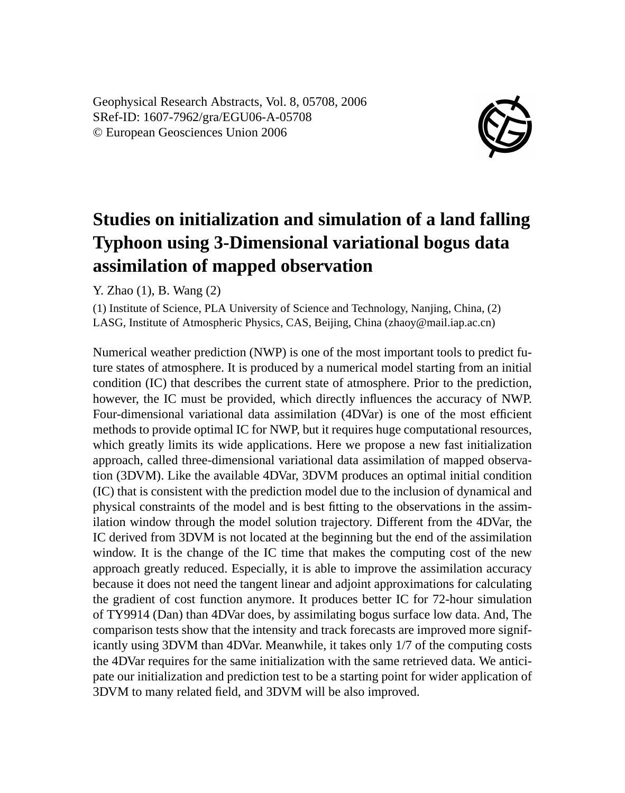Geophysical Research Abstracts, Vol. 8, 05708, 2006 SRef-ID: 1607-7962/gra/EGU06-A-05708 © European Geosciences Union 2006



## **Studies on initialization and simulation of a land falling Typhoon using 3-Dimensional variational bogus data assimilation of mapped observation**

Y. Zhao (1), B. Wang (2)

(1) Institute of Science, PLA University of Science and Technology, Nanjing, China, (2) LASG, Institute of Atmospheric Physics, CAS, Beijing, China (zhaoy@mail.iap.ac.cn)

Numerical weather prediction (NWP) is one of the most important tools to predict future states of atmosphere. It is produced by a numerical model starting from an initial condition (IC) that describes the current state of atmosphere. Prior to the prediction, however, the IC must be provided, which directly influences the accuracy of NWP. Four-dimensional variational data assimilation (4DVar) is one of the most efficient methods to provide optimal IC for NWP, but it requires huge computational resources, which greatly limits its wide applications. Here we propose a new fast initialization approach, called three-dimensional variational data assimilation of mapped observation (3DVM). Like the available 4DVar, 3DVM produces an optimal initial condition (IC) that is consistent with the prediction model due to the inclusion of dynamical and physical constraints of the model and is best fitting to the observations in the assimilation window through the model solution trajectory. Different from the 4DVar, the IC derived from 3DVM is not located at the beginning but the end of the assimilation window. It is the change of the IC time that makes the computing cost of the new approach greatly reduced. Especially, it is able to improve the assimilation accuracy because it does not need the tangent linear and adjoint approximations for calculating the gradient of cost function anymore. It produces better IC for 72-hour simulation of TY9914 (Dan) than 4DVar does, by assimilating bogus surface low data. And, The comparison tests show that the intensity and track forecasts are improved more significantly using 3DVM than 4DVar. Meanwhile, it takes only 1/7 of the computing costs the 4DVar requires for the same initialization with the same retrieved data. We anticipate our initialization and prediction test to be a starting point for wider application of 3DVM to many related field, and 3DVM will be also improved.